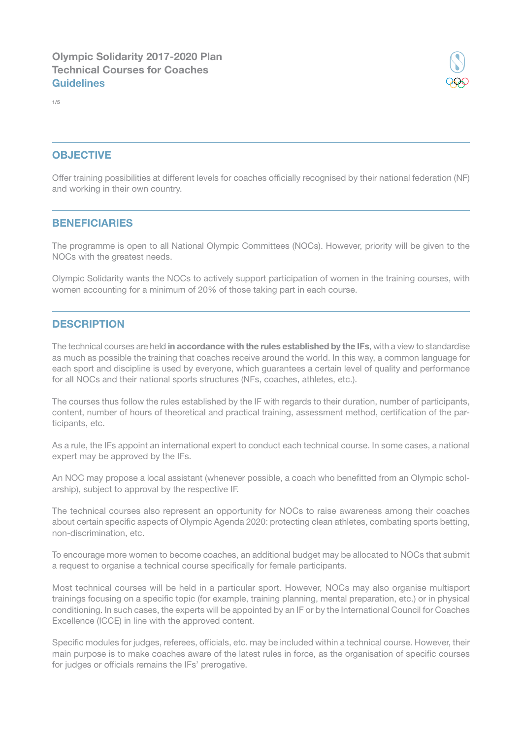

## **OBJECTIVE**

Offer training possibilities at different levels for coaches offcially recognised by their national federation (NF) and working in their own country.

#### **BENEFICIARIES**

The programme is open to all National Olympic Committees (NOCs). However, priority will be given to the NOCs with the greatest needs.

Olympic Solidarity wants the NOCs to actively support participation of women in the training courses, with women accounting for a minimum of 20% of those taking part in each course.

#### **DESCRIPTION**

The technical courses are held in accordance with the rules established by the IFs, with a view to standardise as much as possible the training that coaches receive around the world. In this way, a common language for each sport and discipline is used by everyone, which guarantees a certain level of quality and performance for all NOCs and their national sports structures (NFs, coaches, athletes, etc.).

The courses thus follow the rules established by the IF with regards to their duration, number of participants, content, number of hours of theoretical and practical training, assessment method, certifcation of the participants, etc.

As a rule, the IFs appoint an international expert to conduct each technical course. In some cases, a national expert may be approved by the IFs.

An NOC may propose a local assistant (whenever possible, a coach who beneftted from an Olympic scholarship), subject to approval by the respective IF.

The technical courses also represent an opportunity for NOCs to raise awareness among their coaches about certain specific aspects of Olympic Agenda 2020: protecting clean athletes, combating sports betting, non-discrimination, etc.

To encourage more women to become coaches, an additional budget may be allocated to NOCs that submit a request to organise a technical course specifically for female participants.

Most technical courses will be held in a particular sport. However, NOCs may also organise multisport trainings focusing on a specifc topic (for example, training planning, mental preparation, etc.) or in physical conditioning. In such cases, the experts will be appointed by an IF or by the International Council for Coaches Excellence (ICCE) in line with the approved content.

Specific modules for judges, referees, officials, etc. may be included within a technical course. However, their main purpose is to make coaches aware of the latest rules in force, as the organisation of specific courses for judges or officials remains the IFs' prerogative.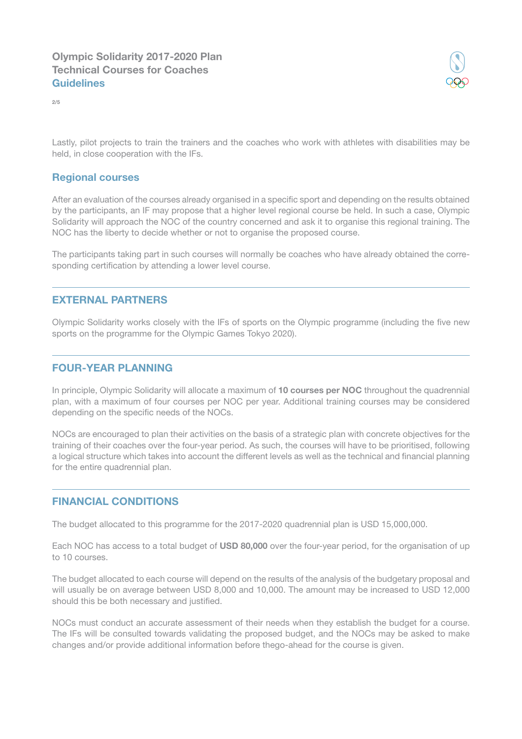

2/5

Lastly, pilot projects to train the trainers and the coaches who work with athletes with disabilities may be held, in close cooperation with the IFs.

## Regional courses

After an evaluation of the courses already organised in a specifc sport and depending on the results obtained by the participants, an IF may propose that a higher level regional course be held. In such a case, Olympic Solidarity will approach the NOC of the country concerned and ask it to organise this regional training. The NOC has the liberty to decide whether or not to organise the proposed course.

The participants taking part in such courses will normally be coaches who have already obtained the corresponding certification by attending a lower level course.

#### EXTERNAL PARTNERS

Olympic Solidarity works closely with the IFs of sports on the Olympic programme (including the fve new sports on the programme for the Olympic Games Tokyo 2020).

### FOUR-YEAR PLANNING

In principle, Olympic Solidarity will allocate a maximum of 10 courses per NOC throughout the quadrennial plan, with a maximum of four courses per NOC per year. Additional training courses may be considered depending on the specific needs of the NOCs.

NOCs are encouraged to plan their activities on the basis of a strategic plan with concrete objectives for the training of their coaches over the four-year period. As such, the courses will have to be prioritised, following a logical structure which takes into account the different levels as well as the technical and financial planning for the entire quadrennial plan.

#### FINANCIAL CONDITIONS

The budget allocated to this programme for the 2017-2020 quadrennial plan is USD 15,000,000.

Each NOC has access to a total budget of USD 80,000 over the four-year period, for the organisation of up to 10 courses.

The budget allocated to each course will depend on the results of the analysis of the budgetary proposal and will usually be on average between USD 8,000 and 10,000. The amount may be increased to USD 12,000 should this be both necessary and justifed.

NOCs must conduct an accurate assessment of their needs when they establish the budget for a course. The IFs will be consulted towards validating the proposed budget, and the NOCs may be asked to make changes and/or provide additional information before thego-ahead for the course is given.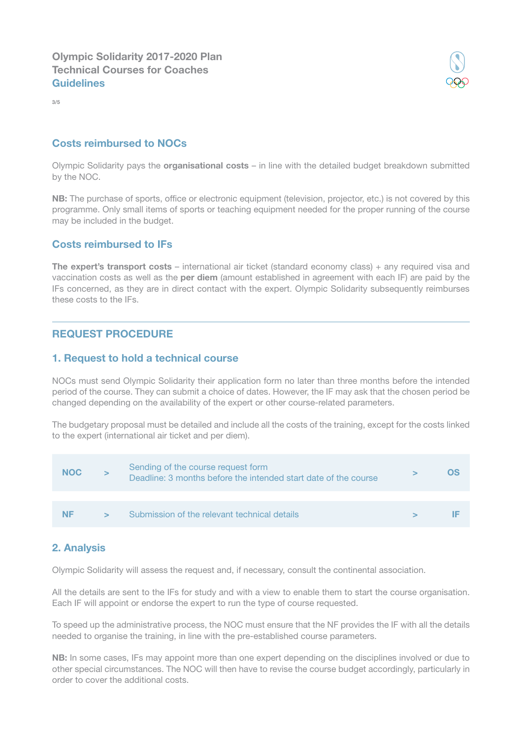Olympic Solidarity 2017-2020 Plan Technical Courses for Coaches **Guidelines** 

3/5

## Costs reimbursed to NOCs

Olympic Solidarity pays the organisational costs - in line with the detailed budget breakdown submitted by the NOC.

NB: The purchase of sports, office or electronic equipment (television, projector, etc.) is not covered by this programme. Only small items of sports or teaching equipment needed for the proper running of the course may be included in the budget.

#### Costs reimbursed to IFs

The expert's transport costs – international air ticket (standard economy class) + any required visa and vaccination costs as well as the **per diem** (amount established in agreement with each IF) are paid by the IFs concerned, as they are in direct contact with the expert. Olympic Solidarity subsequently reimburses these costs to the IFs.

## REQUEST PROCEDURE

#### 1. Request to hold a technical course

NOCs must send Olympic Solidarity their application form no later than three months before the intended period of the course. They can submit a choice of dates. However, the IF may ask that the chosen period be changed depending on the availability of the expert or other course-related parameters.

The budgetary proposal must be detailed and include all the costs of the training, except for the costs linked to the expert (international air ticket and per diem).



## 2. Analysis

Olympic Solidarity will assess the request and, if necessary, consult the continental association.

All the details are sent to the IFs for study and with a view to enable them to start the course organisation. Each IF will appoint or endorse the expert to run the type of course requested.

To speed up the administrative process, the NOC must ensure that the NF provides the IF with all the details needed to organise the training, in line with the pre-established course parameters.

NB: In some cases, IFs may appoint more than one expert depending on the disciplines involved or due to other special circumstances. The NOC will then have to revise the course budget accordingly, particularly in order to cover the additional costs.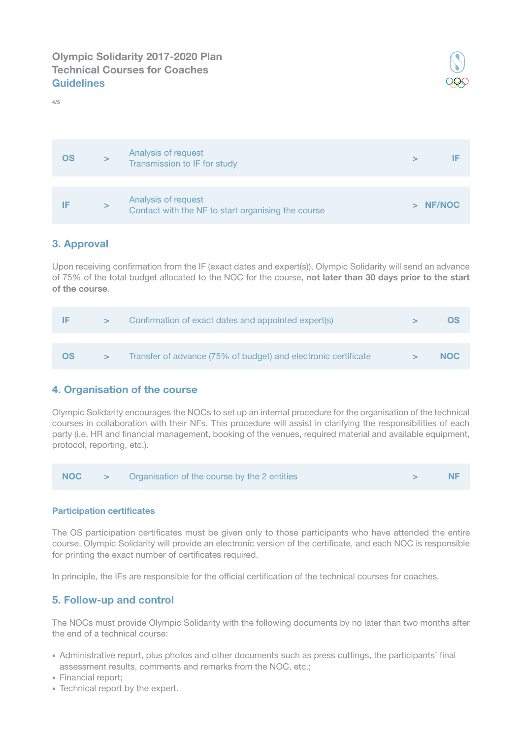

# OS > Analysis of request Analysis of request<br>Transmission to IF for study  $\qquad \qquad \qquad \qquad \qquad$  IF IF > Analysis of request Analysis of request<br>Contact with the NF to start organising the course  $\rightarrow$  NF/NOC

# 3. Approval

4/5

Upon receiving confrmation from the IF (exact dates and expert(s)), Olympic Solidarity will send an advance of 75% of the total budget allocated to the NOC for the course, not later than 30 days prior to the start of the course.

| IE        | $\geq$ | Confirmation of exact dates and appointed expert(s)            |        | <b>OS</b>  |
|-----------|--------|----------------------------------------------------------------|--------|------------|
|           |        |                                                                |        |            |
| <b>OS</b> | $\geq$ | Transfer of advance (75% of budget) and electronic certificate | $\geq$ | <b>NOC</b> |

## 4. Organisation of the course

Olympic Solidarity encourages the NOCs to set up an internal procedure for the organisation of the technical courses in collaboration with their NFs. This procedure will assist in clarifying the responsibilities of each party (i.e. HR and fnancial management, booking of the venues, required material and available equipment, protocol, reporting, etc.).



#### **Participation certificates**

The OS participation certifcates must be given only to those participants who have attended the entire course. Olympic Solidarity will provide an electronic version of the certifcate, and each NOC is responsible for printing the exact number of certificates required.

In principle, the IFs are responsible for the official certification of the technical courses for coaches.

## 5. Follow-up and control

The NOCs must provide Olympic Solidarity with the following documents by no later than two months after the end of a technical course:

- Administrative report, plus photos and other documents such as press cuttings, the participants' final assessment results, comments and remarks from the NOC, etc.;
- Financial report;
- Technical report by the expert.